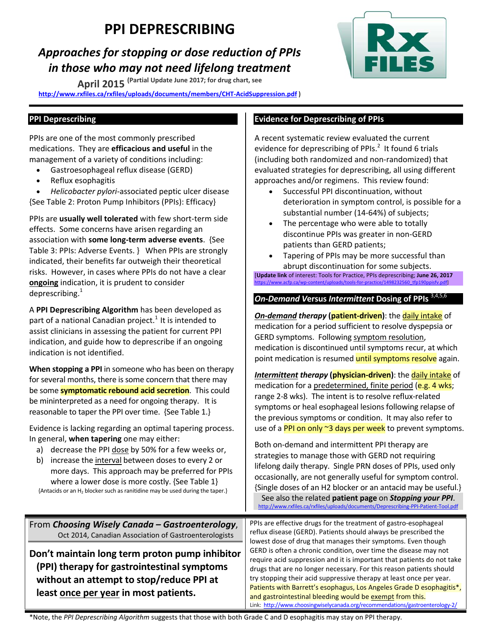# **PPI DEPRESCRIBING**

## *Approaches for stopping or dose reduction of PPIs in those who may not need lifelong treatment*

**April 2015 (Partial Update June 2017; for drug chart, see** 

**http://www.rxfiles.ca/rxfiles/uploads/documents/members/CHT-AcidSuppression.pdf )** 



PPIs are one of the most commonly prescribed medications. They are **efficacious and useful** in the management of a variety of conditions including:

- Gastroesophageal reflux disease (GERD)
- Reflux esophagitis

 *Helicobacter pylori*-associated peptic ulcer disease {See Table 2: Proton Pump Inhibitors (PPIs): Efficacy}

PPIs are **usually well tolerated** with few short-term side effects. Some concerns have arisen regarding an association with **some long-term adverse events**. {See Table 3: PPIs: Adverse Events. } When PPIs are strongly indicated, their benefits far outweigh their theoretical risks. However, in cases where PPIs do not have a clear **ongoing** indication, it is prudent to consider deprescribing. $^{1}$ 

A **PPI Deprescribing Algorithm** has been developed as part of a national Canadian project.<sup>1</sup> It is intended to assist clinicians in assessing the patient for current PPI indication, and guide how to deprescribe if an ongoing indication is not identified.

**When stopping a PPI** in someone who has been on therapy for several months, there is some concern that there may be some **symptomatic rebound acid secretion**. This could be mininterpreted as a need for ongoing therapy. It is reasonable to taper the PPI over time. {See Table 1.}

Evidence is lacking regarding an optimal tapering process. In general, **when tapering** one may either:

- a) decrease the PPI dose by 50% for a few weeks or,
- b) increase the interval between doses to every 2 or more days. This approach may be preferred for PPIs where a lower dose is more costly. {See Table 1} {Antacids or an H2 blocker such as ranitidine may be used during the taper.}

### **Evidence for Deprescribing of PPIs**

A recent systematic review evaluated the current evidence for deprescribing of PPIs. $<sup>2</sup>$  It found 6 trials</sup> (including both randomized and non-randomized) that evaluated strategies for deprescribing, all using different approaches and/or regimens. This review found:

- Successful PPI discontinuation, without deterioration in symptom control, is possible for a substantial number (14-64%) of subjects;
- The percentage who were able to totally discontinue PPIs was greater in non-GERD patients than GERD patients;
- Tapering of PPIs may be more successful than abrupt discontinuation for some subjects.

[**Update link** of interest: Tools for Practice, PPIs deprescribing; **June 26, 2017** https://www.acfp.ca/wp-content/uploads/tools-for-practice/1498232560\_tfp190ppisfv.pdf] Ī

#### *On-Demand V***ersus** *Intermittent* **Dosing of PPIs** 3,4,5,6

*On-demand therapy* **(patient-driven)**: the daily intake of medication for a period sufficient to resolve dyspepsia or GERD symptoms. Following symptom resolution, medication is discontinued until symptoms recur, at which point medication is resumed until symptoms resolve again.

**Intermittent therapy (physician-driven)**: the daily intake of medication for a predetermined, finite period (e.g. 4 wks; range 2-8 wks). The intent is to resolve reflux-related symptoms or heal esophageal lesions following relapse of the previous symptoms or condition. It may also refer to use of a PPI on only ~3 days per week to prevent symptoms.

Both on-demand and intermittent PPI therapy are strategies to manage those with GERD not requiring lifelong daily therapy. Single PRN doses of PPIs, used only occasionally, are not generally useful for symptom control. {Single doses of an H2 blocker or an antacid may be useful.}

See also the related patient page on *Stopping your PPI*.

Link: http://www.choosingwiselycanada.org/recommendations/gastroenterology-2/

From *Choosing Wisely Canada – Gastroenterology*, Oct 2014, Canadian Association of Gastroenterologists **Don't maintain long term proton pump inhibitor (PPI) therapy for gastrointestinal symptoms without an attempt to stop/reduce PPI at least once per year in most patients.**  PPIs are effective drugs for the treatment of gastro-esophageal reflux disease (GERD). Patients should always be prescribed the lowest dose of drug that manages their symptoms. Even though GERD is often a chronic condition, over time the disease may not require acid suppression and it is important that patients do not take drugs that are no longer necessary. For this reason patients should try stopping their acid suppressive therapy at least once per year. Patients with Barrett's esophagus, Los Angeles Grade D esophagitis\*, and gastrointestinal bleeding would be exempt from this.

\*Note, the *PPI Deprescribing Algorithm* suggests that those with both Grade C and D esophagitis may stay on PPI therapy.

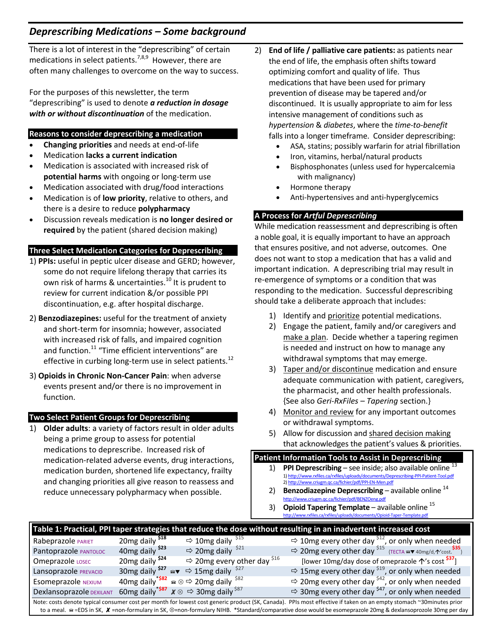### *Deprescribing Medications – Some background*

There is a lot of interest in the "deprescribing" of certain medications in select patients.<sup>7,8,9</sup> However, there are often many challenges to overcome on the way to success.

For the purposes of this newsletter, the term "deprescribing" is used to denote *a reduction in dosage with or without discontinuation* of the medication.

#### **Reasons to consider deprescribing a medication**

- **Changing priorities** and needs at end-of-life
- Medication **lacks a current indication**
- Medication is associated with increased risk of **potential harms** with ongoing or long-term use
- Medication associated with drug/food interactions
- Medication is of **low priority**, relative to others, and there is a desire to reduce **polypharmacy**
- Discussion reveals medication is **no longer desired or required** by the patient (shared decision making)

#### **Three Select Medication Categories for Deprescribing**

- 1) **PPIs:** useful in peptic ulcer disease and GERD; however, some do not require lifelong therapy that carries its own risk of harms & uncertainties.<sup>10</sup> It is prudent to review for current indication &/or possible PPI discontinuation, e.g. after hospital discharge.
- 2) **Benzodiazepines:** useful for the treatment of anxiety and short-term for insomnia; however, associated with increased risk of falls, and impaired cognition and function.<sup>11</sup> "Time efficient interventions" are effective in curbing long-term use in select patients.<sup>12</sup>
- 3) **Opioids in Chronic Non-Cancer Pain**: when adverse events present and/or there is no improvement in function.

#### **Two Select Patient Groups for Deprescribing**

1) **Older adults**: a variety of factors result in older adults being a prime group to assess for potential medications to deprescribe. Increased risk of medication-related adverse events, drug interactions, medication burden, shortened life expectancy, frailty and changing priorities all give reason to reassess and reduce unnecessary polypharmacy when possible.

- 2) **End of life / palliative care patients:** as patients near the end of life, the emphasis often shifts toward optimizing comfort and quality of life. Thus medications that have been used for primary prevention of disease may be tapered and/or discontinued. It is usually appropriate to aim for less intensive management of conditions such as *hypertension* & *diabetes*, where the *time-to-benefit* falls into a longer timeframe. Consider deprescribing:
	- ASA, statins; possibly warfarin for atrial fibrillation
	- Iron, vitamins, herbal/natural products
	- Bisphosphonates (unless used for hypercalcemia with malignancy)
	- Hormone therapy
	- Anti-hypertensives and anti-hyperglycemics

#### **A Process for** *Artful Deprescribing*

While medication reassessment and deprescribing is often a noble goal, it is equally important to have an approach that ensures positive, and not adverse, outcomes. One does not want to stop a medication that has a valid and important indication. A deprescribing trial may result in re-emergence of symptoms or a condition that was responding to the medication. Successful deprescribing should take a deliberate approach that includes:

- 1) Identify and prioritize potential medications.
- 2) Engage the patient, family and/or caregivers and make a plan. Decide whether a tapering regimen is needed and instruct on how to manage any withdrawal symptoms that may emerge.
- 3) Taper and/or discontinue medication and ensure adequate communication with patient, caregivers, the pharmacist, and other health professionals. {See also *Geri-RxFiles – Tapering* section.}
- 4) Monitor and review for any important outcomes or withdrawal symptoms.
- 5) Allow for discussion and shared decision making that acknowledges the patient's values & priorities.

|  | Patient Information Tools to Assist in Deprescribing |  |      |  |
|--|------------------------------------------------------|--|------|--|
|  |                                                      |  | . 13 |  |

- 1) **PPI Deprescribing** see inside; also available online 1) http://www.rxfiles.ca/rxfiles/uploads/documents/Deprescribing-PPI-Patient-Tool.pdf 2) http://www.criugm.qc.ca/fichier/pdf/PPI-EN-Men.pdf
- 2) **Benzodiazepine Deprescribing** available online 14 http://www.criugm.qc.ca/fichier/pdf/BENZOeng.pdf
- 3) **Opioid Tapering Template** available online 15 http://www.rxfiles.ca/rxfiles/uploads/documents/Opioid-Taper-Template.pdf

| Table 1: Practical, PPI taper strategies that reduce the dose without resulting in an inadvertent increased cost                                                   |                                        |                                                                                        |                                                                                  |  |  |  |
|--------------------------------------------------------------------------------------------------------------------------------------------------------------------|----------------------------------------|----------------------------------------------------------------------------------------|----------------------------------------------------------------------------------|--|--|--|
| Rabeprazole PARIET                                                                                                                                                 | 20 <sub>mg</sub> daily <sup>\$18</sup> | $\Rightarrow$ 10mg daily <sup>\$15</sup>                                               | $\Rightarrow$ 10mg every other day <sup>\$12</sup> , or only when needed         |  |  |  |
| Pantoprazole PANTOLOC                                                                                                                                              | 40 <sub>mg</sub> daily <sup>\$23</sup> | $\Rightarrow$ 20mg daily <sup>\$21</sup>                                               | $\Rightarrow$ 20mg every other day $515$ {TECTA av 40mg/d, $\gamma$ cost $535$ } |  |  |  |
| Omeprazole LOSEC                                                                                                                                                   | 20 <sub>mg</sub> daily <sup>\$24</sup> | $\Rightarrow$ 20mg every other day $516$                                               | [lower 10mg/day dose of omeprazole 个's cost <sup>537</sup> ]                     |  |  |  |
| Lansoprazole PREVACID                                                                                                                                              |                                        | 30mg daily $527 \approx 15$ mg daily $527$                                             | $\Rightarrow$ 15mg every other day <sup>\$19</sup> , or only when needed         |  |  |  |
| <b>Esomeprazole NEXIUM</b>                                                                                                                                         |                                        | 40mg daily <sup>*\$82</sup> $\approx \otimes$ $\Rightarrow$ 20mg daily <sup>\$82</sup> | $\Rightarrow$ 20mg every other day <sup>\$42</sup> , or only when needed         |  |  |  |
| Dexlansoprazole DEXILANT                                                                                                                                           |                                        | 60mg daily <sup>*\$87</sup> $x \otimes \Rightarrow$ 30mg daily <sup>\$87</sup>         | $\Rightarrow$ 30mg every other day <sup>\$47</sup> , or only when needed         |  |  |  |
| Note: costs denote typical consumer cost per month for lowest cost generic product (SK, Canada). PPIs most effective if taken on an empty stomach ~30minutes prior |                                        |                                                                                        |                                                                                  |  |  |  |
| to a meal.  ighthrow SK, X = non-formulary in SK, ⊗=non-formulary NIHB. *Standard/comparative dose would be esomeprazole 20mg & dexlansoprozole 30mg per day       |                                        |                                                                                        |                                                                                  |  |  |  |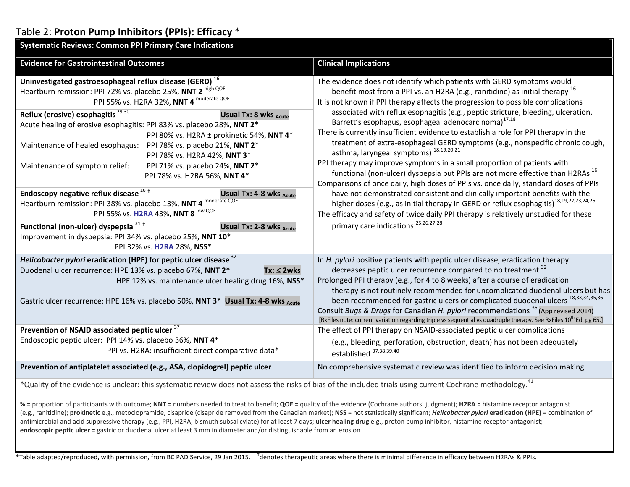## Table 2: **Proton Pump Inhibitors (PPIs): Efficacy** \*

| <b>Systematic Reviews: Common PPI Primary Care Indications</b>                                                                                                                                                                                                                                                                                                                                                                                                                                                                                                                                                                                                                                                                                                                                                                                                                                                                                       |                                                                                                                                                                                                                                                                                                                                                                                                                                                                                                                                                                                                                                                                                                                                                                                                                                                                                                                                                                                                                                                                                                                                                                                                                                        |  |  |  |
|------------------------------------------------------------------------------------------------------------------------------------------------------------------------------------------------------------------------------------------------------------------------------------------------------------------------------------------------------------------------------------------------------------------------------------------------------------------------------------------------------------------------------------------------------------------------------------------------------------------------------------------------------------------------------------------------------------------------------------------------------------------------------------------------------------------------------------------------------------------------------------------------------------------------------------------------------|----------------------------------------------------------------------------------------------------------------------------------------------------------------------------------------------------------------------------------------------------------------------------------------------------------------------------------------------------------------------------------------------------------------------------------------------------------------------------------------------------------------------------------------------------------------------------------------------------------------------------------------------------------------------------------------------------------------------------------------------------------------------------------------------------------------------------------------------------------------------------------------------------------------------------------------------------------------------------------------------------------------------------------------------------------------------------------------------------------------------------------------------------------------------------------------------------------------------------------------|--|--|--|
| <b>Evidence for Gastrointestinal Outcomes</b>                                                                                                                                                                                                                                                                                                                                                                                                                                                                                                                                                                                                                                                                                                                                                                                                                                                                                                        | <b>Clinical Implications</b>                                                                                                                                                                                                                                                                                                                                                                                                                                                                                                                                                                                                                                                                                                                                                                                                                                                                                                                                                                                                                                                                                                                                                                                                           |  |  |  |
| Uninvestigated gastroesophageal reflux disease (GERD) <sup>16</sup><br>Heartburn remission: PPI 72% vs. placebo 25%, NNT 2 high QOE<br>PPI 55% vs. H2RA 32%, NNT 4 moderate QOE<br>Reflux (erosive) esophagitis <sup>29,30</sup><br>Usual Tx: 8 wks Acute<br>Acute healing of erosive esophagitis: PPI 83% vs. placebo 28%, NNT 2*<br>PPI 80% vs. H2RA ± prokinetic 54%, NNT 4*<br>Maintenance of healed esophagus:<br>PPI 78% vs. placebo 21%, NNT 2*<br>PPI 78% vs. H2RA 42%, NNT 3*<br>Maintenance of symptom relief:<br>PPI 71% vs. placebo 24%, NNT 2*<br>PPI 78% vs. H2RA 56%, NNT 4*<br>Endoscopy negative reflux disease <sup>16+</sup><br>Usual Tx: 4-8 wks Acute<br>Heartburn remission: PPI 38% vs. placebo 13%, NNT 4 moderate QOE<br>PPI 55% vs. H2RA 43%, NNT 8 low QOE<br>Functional (non-ulcer) dyspepsia 31+<br>Usual Tx: 2-8 wks Acute<br>Improvement in dyspepsia: PPI 34% vs. placebo 25%, NNT 10*<br>PPI 32% vs. H2RA 28%, NSS* | The evidence does not identify which patients with GERD symptoms would<br>benefit most from a PPI vs. an H2RA (e.g., ranitidine) as initial therapy $^{16}$<br>It is not known if PPI therapy affects the progression to possible complications<br>associated with reflux esophagitis (e.g., peptic stricture, bleeding, ulceration,<br>Barrett's esophagus, esophageal adenocarcinoma) <sup>17,18</sup><br>There is currently insufficient evidence to establish a role for PPI therapy in the<br>treatment of extra-esophageal GERD symptoms (e.g., nonspecific chronic cough,<br>asthma, laryngeal symptoms) <sup>18,19,20,21</sup><br>PPI therapy may improve symptoms in a small proportion of patients with<br>functional (non-ulcer) dyspepsia but PPIs are not more effective than H2RAs <sup>16</sup><br>Comparisons of once daily, high doses of PPIs vs. once daily, standard doses of PPIs<br>have not demonstrated consistent and clinically important benefits with the<br>higher doses (e.g., as initial therapy in GERD or reflux esophagitis) <sup>18,19,22,23,24,26</sup><br>The efficacy and safety of twice daily PPI therapy is relatively unstudied for these<br>primary care indications <sup>25,26,27,28</sup> |  |  |  |
| Helicobacter pylori eradication (HPE) for peptic ulcer disease <sup>32</sup><br>Duodenal ulcer recurrence: HPE 13% vs. placebo 67%, NNT 2*<br>$Tx: \leq 2wks$<br>HPE 12% vs. maintenance ulcer healing drug 16%, NSS*<br>Gastric ulcer recurrence: HPE 16% vs. placebo 50%, NNT 3* Usual Tx: 4-8 wks Acute<br>Prevention of NSAID associated peptic ulcer 37<br>Endoscopic peptic ulcer: PPI 14% vs. placebo 36%, NNT 4*                                                                                                                                                                                                                                                                                                                                                                                                                                                                                                                             | In H. pylori positive patients with peptic ulcer disease, eradication therapy<br>decreases peptic ulcer recurrence compared to no treatment <sup>32</sup><br>Prolonged PPI therapy (e.g., for 4 to 8 weeks) after a course of eradication<br>therapy is not routinely recommended for uncomplicated duodenal ulcers but has<br>been recommended for gastric ulcers or complicated duodenal ulcers 18,33,34,35,36<br>Consult Bugs & Drugs for Canadian H. pylori recommendations <sup>36</sup> (App revised 2014)<br>[RxFiles note: current variation regarding triple vs sequential vs quadruple therapy. See RxFiles 10 <sup>th</sup> Ed. pg 65.]<br>The effect of PPI therapy on NSAID-associated peptic ulcer complications                                                                                                                                                                                                                                                                                                                                                                                                                                                                                                         |  |  |  |
| PPI vs. H2RA: insufficient direct comparative data*                                                                                                                                                                                                                                                                                                                                                                                                                                                                                                                                                                                                                                                                                                                                                                                                                                                                                                  | (e.g., bleeding, perforation, obstruction, death) has not been adequately<br>established 37,38,39,40                                                                                                                                                                                                                                                                                                                                                                                                                                                                                                                                                                                                                                                                                                                                                                                                                                                                                                                                                                                                                                                                                                                                   |  |  |  |
| Prevention of antiplatelet associated (e.g., ASA, clopidogrel) peptic ulcer                                                                                                                                                                                                                                                                                                                                                                                                                                                                                                                                                                                                                                                                                                                                                                                                                                                                          | No comprehensive systematic review was identified to inform decision making                                                                                                                                                                                                                                                                                                                                                                                                                                                                                                                                                                                                                                                                                                                                                                                                                                                                                                                                                                                                                                                                                                                                                            |  |  |  |
| *Quality of the evidence is unclear: this systematic review does not assess the risks of bias of the included trials using current Cochrane methodology. <sup>41</sup>                                                                                                                                                                                                                                                                                                                                                                                                                                                                                                                                                                                                                                                                                                                                                                               |                                                                                                                                                                                                                                                                                                                                                                                                                                                                                                                                                                                                                                                                                                                                                                                                                                                                                                                                                                                                                                                                                                                                                                                                                                        |  |  |  |

**%** = proportion of participants with outcome; **NNT** = numbers needed to treat to benefit; **QOE <sup>=</sup>** quality of the evidence (Cochrane authors' judgment); **H2RA** = histamine receptor antagonist (e.g., ranitidine); prokinetic e.g., metoclopramide, cisapride (cisapride removed from the Canadian market); NSS = not statistically significant; *Helicobacter pylori* eradication (HPE) = combination of antimicrobial and acid suppressive therapy (e.g., PPI, H2RA, bismuth subsalicylate) for at least 7 days; **ulcer healing drug** e.g., proton pump inhibitor, histamine receptor antagonist; **endoscopic peptic ulcer** = gastric or duodenal ulcer at least 3 mm in diameter and/or distinguishable from an erosion

\*Table adapted/reproduced, with permission, from BC PAD Service, 29 Jan 2015. <sup>†</sup>denotes therapeutic areas where there is minimal difference in efficacy between H2RAs & PPIs.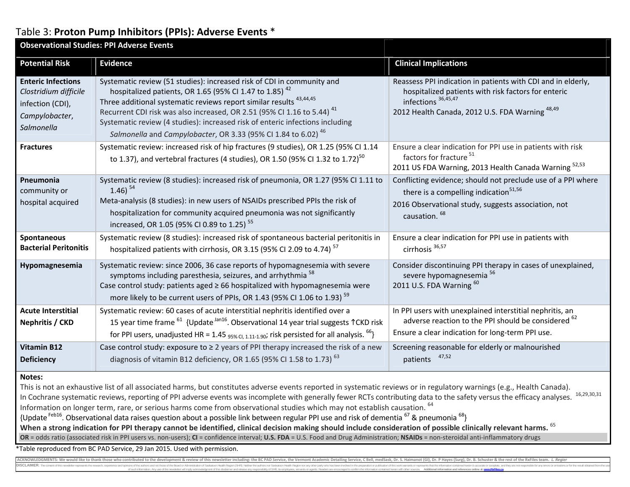## Table 3: **Proton Pump Inhibitors (PPIs): Adverse Events** \*

| <b>Observational Studies: PPI Adverse Events</b>                                                                                                                                                                                                                                                                                                                                                                                        |                                                                                                                                                                                                                                                                                                                                                                                                                                                                                    |                                                                                                                                                                                                          |  |  |  |
|-----------------------------------------------------------------------------------------------------------------------------------------------------------------------------------------------------------------------------------------------------------------------------------------------------------------------------------------------------------------------------------------------------------------------------------------|------------------------------------------------------------------------------------------------------------------------------------------------------------------------------------------------------------------------------------------------------------------------------------------------------------------------------------------------------------------------------------------------------------------------------------------------------------------------------------|----------------------------------------------------------------------------------------------------------------------------------------------------------------------------------------------------------|--|--|--|
| <b>Potential Risk</b>                                                                                                                                                                                                                                                                                                                                                                                                                   | <b>Evidence</b>                                                                                                                                                                                                                                                                                                                                                                                                                                                                    | <b>Clinical Implications</b>                                                                                                                                                                             |  |  |  |
| <b>Enteric Infections</b><br>Clostridium difficile<br>infection (CDI),<br>Campylobacter,<br>Salmonella                                                                                                                                                                                                                                                                                                                                  | Systematic review (51 studies): increased risk of CDI in community and<br>hospitalized patients, OR 1.65 (95% CI 1.47 to 1.85) <sup>42</sup><br>Three additional systematic reviews report similar results <sup>43,44,45</sup><br>Recurrent CDI risk was also increased, OR 2.51 (95% CI 1.16 to 5.44) <sup>41</sup><br>Systematic review (4 studies): increased risk of enteric infections including<br>Salmonella and Campylobacter, OR 3.33 (95% CI 1.84 to 6.02) <sup>46</sup> | Reassess PPI indication in patients with CDI and in elderly,<br>hospitalized patients with risk factors for enteric<br>infections 36,45,47<br>2012 Health Canada, 2012 U.S. FDA Warning <sup>48,49</sup> |  |  |  |
| <b>Fractures</b>                                                                                                                                                                                                                                                                                                                                                                                                                        | Systematic review: increased risk of hip fractures (9 studies), OR 1.25 (95% CI 1.14<br>to 1.37), and vertebral fractures (4 studies), OR 1.50 (95% CI 1.32 to 1.72) <sup>50</sup>                                                                                                                                                                                                                                                                                                 | Ensure a clear indication for PPI use in patients with risk<br>factors for fracture <sup>51</sup><br>2011 US FDA Warning, 2013 Health Canada Warning 52,53                                               |  |  |  |
| Pneumonia<br>community or<br>hospital acquired                                                                                                                                                                                                                                                                                                                                                                                          | Systematic review (8 studies): increased risk of pneumonia, OR 1.27 (95% CI 1.11 to<br>$1.46$ ) <sup>54</sup><br>Meta-analysis (8 studies): in new users of NSAIDs prescribed PPIs the risk of<br>hospitalization for community acquired pneumonia was not significantly<br>increased, OR 1.05 (95% CI 0.89 to 1.25) <sup>55</sup>                                                                                                                                                 | Conflicting evidence; should not preclude use of a PPI where<br>there is a compelling indication <sup>51,56</sup><br>2016 Observational study, suggests association, not<br>causation. <sup>68</sup>     |  |  |  |
| Spontaneous<br><b>Bacterial Peritonitis</b>                                                                                                                                                                                                                                                                                                                                                                                             | Systematic review (8 studies): increased risk of spontaneous bacterial peritonitis in<br>hospitalized patients with cirrhosis, OR 3.15 (95% CI 2.09 to 4.74) <sup>57</sup>                                                                                                                                                                                                                                                                                                         | Ensure a clear indication for PPI use in patients with<br>cirrhosis <sup>36,57</sup>                                                                                                                     |  |  |  |
| Hypomagnesemia                                                                                                                                                                                                                                                                                                                                                                                                                          | Systematic review: since 2006, 36 case reports of hypomagnesemia with severe<br>symptoms including paresthesia, seizures, and arrhythmia <sup>58</sup><br>Case control study: patients aged ≥ 66 hospitalized with hypomagnesemia were<br>more likely to be current users of PPIs, OR 1.43 (95% CI 1.06 to 1.93) <sup>59</sup>                                                                                                                                                     | Consider discontinuing PPI therapy in cases of unexplained,<br>severe hypomagnesemia <sup>56</sup><br>2011 U.S. FDA Warning 60                                                                           |  |  |  |
| <b>Acute Interstitial</b><br><b>Nephritis / CKD</b>                                                                                                                                                                                                                                                                                                                                                                                     | Systematic review: 60 cases of acute interstitial nephritis identified over a<br>15 year time frame <sup>61</sup> {Update <sup>Jan16</sup> . Observational 14 year trial suggests 1 CKD risk<br>for PPI users, unadjusted HR = 1.45 $_{95\%}$ c <sub>1.11-1.90</sub> ; risk persisted for all analysis. <sup>66</sup> }                                                                                                                                                            | In PPI users with unexplained interstitial nephritis, an<br>adverse reaction to the PPI should be considered <sup>62</sup><br>Ensure a clear indication for long-term PPI use.                           |  |  |  |
| <b>Vitamin B12</b><br><b>Deficiency</b>                                                                                                                                                                                                                                                                                                                                                                                                 | Case control study: exposure to $\geq 2$ years of PPI therapy increased the risk of a new<br>diagnosis of vitamin B12 deficiency, OR 1.65 (95% CI 1.58 to 1.73) <sup>63</sup>                                                                                                                                                                                                                                                                                                      | Screening reasonable for elderly or malnourished<br>47,52<br>patients                                                                                                                                    |  |  |  |
| Notes:<br>This is not an exhaustive list of all associated harms, but constitutes adverse events reported in systematic reviews or in regulatory warnings (e.g., Health Canada).<br>16.29.30.31<br><u>in Coold in the line of the company of the college of the college of the college of the college of the college of the college of the college of the college of the college of the college of the college of the college of th</u> |                                                                                                                                                                                                                                                                                                                                                                                                                                                                                    |                                                                                                                                                                                                          |  |  |  |

In Cochrane systematic reviews, reporting of PPI adverse events was incomplete with generally fewer RCTs contributing data to the safety versus the efficacy analyses. Information on longer term, rare, or serious harms come from observational studies which may not establish causation. <sup>64</sup>

{Update Feb16. Observational data raises question about a possible link between regular PPI use and risk of dementia 67 & pneumonia 68}

When a strong indication for PPI therapy cannot be identified, clinical decision making should include consideration of possible clinically relevant harms. <sup>65</sup>

**OR** = odds ratio (associated risk in PPI users vs. non-users); **CI** = confidence interval; **U.S. FDA** = U.S. Food and Drug Administration; **NSAIDs** = non-steroidal anti-inflammatory drugs

\*Table reproduced from BC PAD Service, 29 Jan 2015. Used with permission.

ACKNOWLEDGMENTS: We would like to thank those who contributed to the development & review of this newsletter including: the BC PAD Service, the Vermont Academic Detailing Service, C Bell, medSask, Dr. S. Haimanot (GI), Dr. **DISCLAIMER:**: The content of this newsletter represents the research, experience and ophions of the authors and on those of the Board on the Board or Administration of Saskatoon Health Region (SHR). Neither the authors nor difer party of such information. Any use of the newsletter will imply acknowledgment of this disclaimer and release any responsibility of SHR, its employees, servants or agents. Readers are encouraged to confirm the information contai